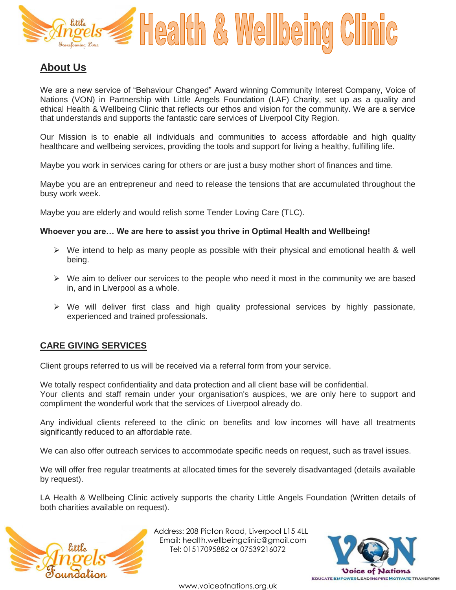

## **About Us**

We are a new service of "Behaviour Changed" Award winning Community Interest Company, Voice of Nations (VON) in Partnership with Little Angels Foundation (LAF) Charity, set up as a quality and ethical Health & Wellbeing Clinic that reflects our ethos and vision for the community. We are a service that understands and supports the fantastic care services of Liverpool City Region.

Our Mission is to enable all individuals and communities to access affordable and high quality healthcare and wellbeing services, providing the tools and support for living a healthy, fulfilling life.

Maybe you work in services caring for others or are just a busy mother short of finances and time.

Maybe you are an entrepreneur and need to release the tensions that are accumulated throughout the busy work week.

Maybe you are elderly and would relish some Tender Loving Care (TLC).

#### **Whoever you are… We are here to assist you thrive in Optimal Health and Wellbeing!**

- $\triangleright$  We intend to help as many people as possible with their physical and emotional health & well being.
- $\triangleright$  We aim to deliver our services to the people who need it most in the community we are based in, and in Liverpool as a whole.
- $\triangleright$  We will deliver first class and high quality professional services by highly passionate, experienced and trained professionals.

### **CARE GIVING SERVICES**

Client groups referred to us will be received via a referral form from your service.

We totally respect confidentiality and data protection and all client base will be confidential. Your clients and staff remain under your organisation's auspices, we are only here to support and compliment the wonderful work that the services of Liverpool already do.

Any individual clients refereed to the clinic on benefits and low incomes will have all treatments significantly reduced to an affordable rate.

We can also offer outreach services to accommodate specific needs on request, such as travel issues.

We will offer free regular treatments at allocated times for the severely disadvantaged (details available by request).

LA Health & Wellbeing Clinic actively supports the charity Little Angels Foundation (Written details of both charities available on request).



 Address: 208 Picton Road, Liverpool L15 4LL Email: health.wellbeingclinic@gmail.com Tel: 01517095882 or 07539216072

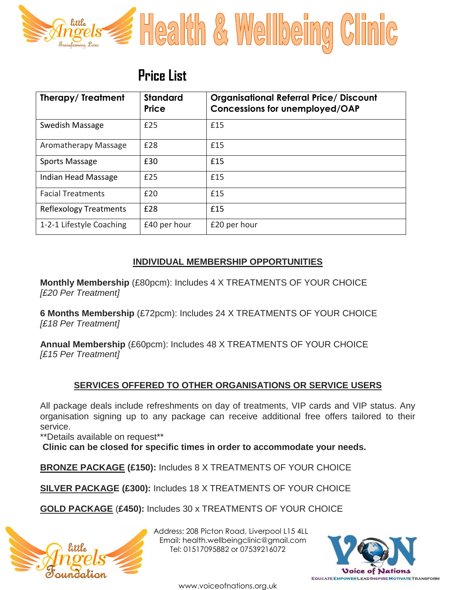

# **Price List**

| Therapy/Treatment             | <b>Standard</b><br><b>Price</b> | <b>Organisational Referral Price/ Discount</b><br><b>Concessions for unemployed/OAP</b> |
|-------------------------------|---------------------------------|-----------------------------------------------------------------------------------------|
| Swedish Massage               | £25                             | £15                                                                                     |
| Aromatherapy Massage          | £28                             | £15                                                                                     |
| Sports Massage                | £30                             | £15                                                                                     |
| Indian Head Massage           | £25                             | f15                                                                                     |
| <b>Facial Treatments</b>      | £20                             | £15                                                                                     |
| <b>Reflexology Treatments</b> | £28                             | £15                                                                                     |
| 1-2-1 Lifestyle Coaching      | £40 per hour                    | £20 per hour                                                                            |

### **INDIVIDUAL MEMBERSHIP OPPORTUNITIES**

**Monthly Membership** (£80pcm): Includes 4 X TREATMENTS OF YOUR CHOICE *[£20 Per Treatment]*

**6 Months Membership** (£72pcm): Includes 24 X TREATMENTS OF YOUR CHOICE *[£18 Per Treatment]*

**Annual Membership** (£60pcm): Includes 48 X TREATMENTS OF YOUR CHOICE *[£15 Per Treatment]*

## **SERVICES OFFERED TO OTHER ORGANISATIONS OR SERVICE USERS**

All package deals include refreshments on day of treatments, VIP cards and VIP status. Any organisation signing up to any package can receive additional free offers tailored to their service.

\*\*Details available on request\*\*

**Clinic can be closed for specific times in order to accommodate your needs.**

**BRONZE PACKAGE (£150):** Includes 8 X TREATMENTS OF YOUR CHOICE

**SILVER PACKAGE (£300):** Includes 18 X TREATMENTS OF YOUR CHOICE

**GOLD PACKAGE** (**£450):** Includes 30 x TREATMENTS OF YOUR CHOICE



 Address: 208 Picton Road, Liverpool L15 4LL Email: health.wellbeingclinic@gmail.com Tel: 01517095882 or 07539216072



www.voiceofnations.org.uk